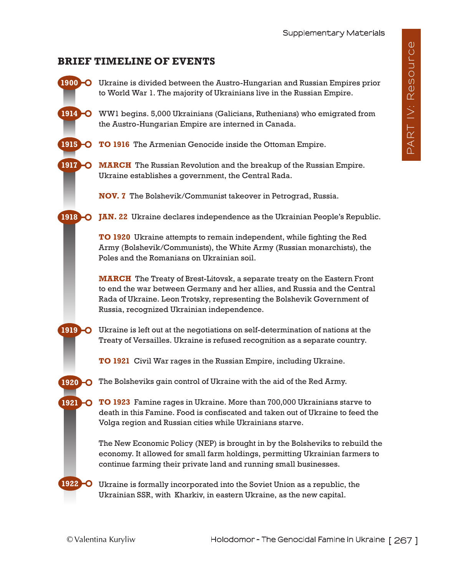## **BRIEF TIMELINE OF EVENTS**

- Ukraine is divided between the Austro-Hungarian and Russian Empires prior **1900**  to World War 1. The majority of Ukrainians live in the Russian Empire.
- WW1 begins. 5,000 Ukrainians (Galicians, Ruthenians) who emigrated from **1914**  the Austro-Hungarian Empire are interned in Canada.
- **TO 1916** The Armenian Genocide inside the Ottoman Empire. **1915**
- **MARCH** The Russian Revolution and the breakup of the Russian Empire. Ukraine establishes a government, the Central Rada. **1917**

**NOV. 7** The Bolshevik/Communist takeover in Petrograd, Russia.

**JAN. 22** Ukraine declares independence as the Ukrainian People's Republic. **1918** 

> **TO 1920** Ukraine attempts to remain independent, while fighting the Red Army (Bolshevik/Communists), the White Army (Russian monarchists), the Poles and the Romanians on Ukrainian soil.

**MARCH** The Treaty of Brest-Litovsk, a separate treaty on the Eastern Front to end the war between Germany and her allies, and Russia and the Central Rada of Ukraine. Leon Trotsky, representing the Bolshevik Government of Russia, recognized Ukrainian independence.

Ukraine is left out at the negotiations on self-determination of nations at the Treaty of Versailles. Ukraine is refused recognition as a separate country. **1919 -0** 

**TO 1921** Civil War rages in the Russian Empire, including Ukraine.

**1920**  The Bolsheviks gain control of Ukraine with the aid of the Red Army.

> **TO 1923** Famine rages in Ukraine. More than 700,000 Ukrainians starve to death in this Famine. Food is confiscated and taken out of Ukraine to feed the Volga region and Russian cities while Ukrainians starve.

The New Economic Policy (NEP) is brought in by the Bolsheviks to rebuild the economy. It allowed for small farm holdings, permitting Ukrainian farmers to continue farming their private land and running small businesses.

Ukraine is formally incorporated into the Soviet Union as a republic, the Ukrainian SSR, with Kharkiv, in eastern Ukraine, as the new capital.

**1921** 

**1922**